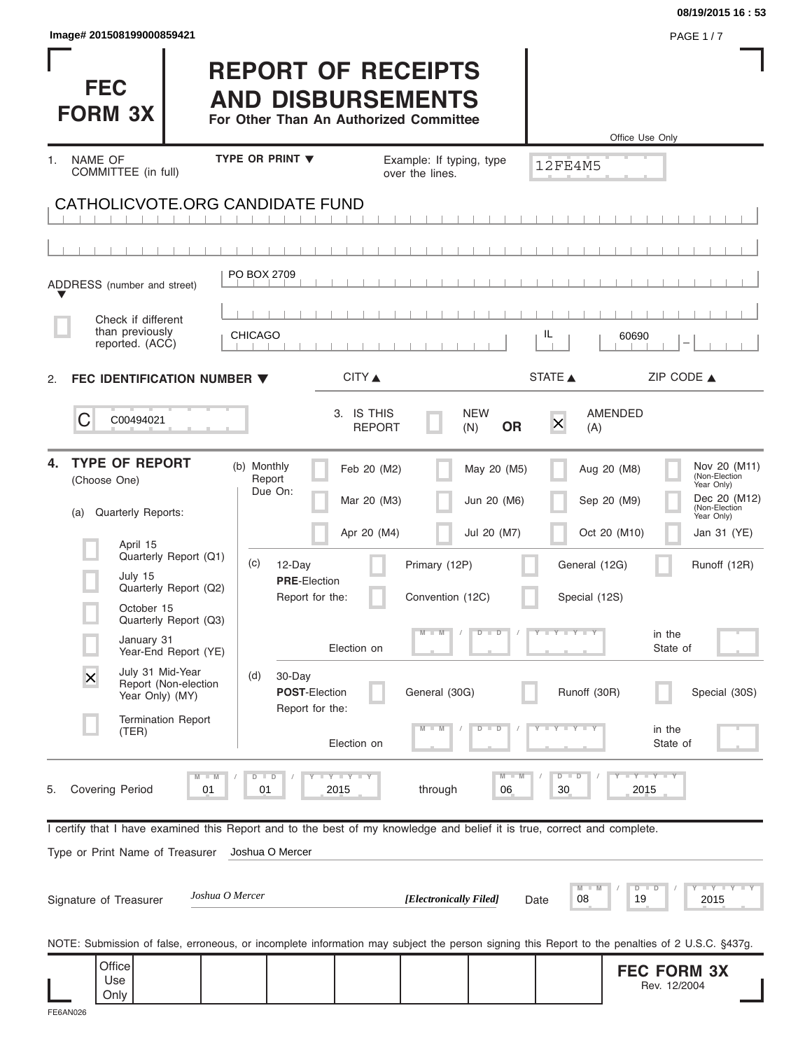| lmage# 201508199000859421 |  |  |  |
|---------------------------|--|--|--|
|                           |  |  |  |

|    |                              |                                                                                                                         |                 |                |                                    |                             |                                                                                                 |                                |                     |                                                                                                                                                | 08/19/2015 16:53              |
|----|------------------------------|-------------------------------------------------------------------------------------------------------------------------|-----------------|----------------|------------------------------------|-----------------------------|-------------------------------------------------------------------------------------------------|--------------------------------|---------------------|------------------------------------------------------------------------------------------------------------------------------------------------|-------------------------------|
|    |                              | Image# 201508199000859421                                                                                               |                 |                |                                    |                             |                                                                                                 |                                |                     |                                                                                                                                                | <b>PAGE 1/7</b>               |
|    | <b>FEC</b><br><b>FORM 3X</b> |                                                                                                                         |                 |                |                                    |                             | <b>REPORT OF RECEIPTS</b><br><b>AND DISBURSEMENTS</b><br>For Other Than An Authorized Committee |                                |                     | Office Use Only                                                                                                                                |                               |
| 1. | NAME OF                      |                                                                                                                         |                 |                | TYPE OR PRINT $\blacktriangledown$ |                             | Example: If typing, type                                                                        |                                |                     |                                                                                                                                                |                               |
|    |                              | COMMITTEE (in full)                                                                                                     |                 |                |                                    |                             | over the lines.                                                                                 |                                | <b>12FE4M5</b>      |                                                                                                                                                |                               |
|    |                              | CATHOLICVOTE.ORG CANDIDATE FUND                                                                                         |                 |                |                                    |                             |                                                                                                 |                                |                     |                                                                                                                                                |                               |
|    |                              |                                                                                                                         |                 |                |                                    |                             |                                                                                                 |                                |                     |                                                                                                                                                |                               |
|    |                              |                                                                                                                         |                 |                |                                    |                             |                                                                                                 |                                |                     |                                                                                                                                                |                               |
|    |                              | ADDRESS (number and street)                                                                                             |                 | PO BOX 2709    |                                    |                             |                                                                                                 |                                |                     |                                                                                                                                                |                               |
|    |                              | Check if different                                                                                                      |                 |                |                                    |                             |                                                                                                 |                                |                     |                                                                                                                                                |                               |
|    |                              | than previously<br>reported. (ACC)                                                                                      |                 | <b>CHICAGO</b> |                                    |                             |                                                                                                 |                                | IL                  | 60690                                                                                                                                          |                               |
| 2. |                              | FEC IDENTIFICATION NUMBER $\blacktriangledown$                                                                          |                 |                |                                    | CITY ▲                      |                                                                                                 |                                | STATE A             | ZIP CODE $\triangle$                                                                                                                           |                               |
|    |                              |                                                                                                                         |                 |                |                                    |                             |                                                                                                 |                                |                     |                                                                                                                                                |                               |
|    | C                            | C00494021                                                                                                               |                 |                |                                    | 3. IS THIS<br><b>REPORT</b> |                                                                                                 | <b>NEW</b><br><b>OR</b><br>(N) | $\times$<br>(A)     | <b>AMENDED</b>                                                                                                                                 |                               |
| 4. |                              | <b>TYPE OF REPORT</b>                                                                                                   |                 | (b) Monthly    |                                    | Feb 20 (M2)                 |                                                                                                 | May 20 (M5)                    |                     | Aug 20 (M8)                                                                                                                                    | Nov 20 (M11)<br>(Non-Election |
|    | (Choose One)                 |                                                                                                                         |                 | Report         | Due On:                            | Mar 20 (M3)                 |                                                                                                 | Jun 20 (M6)                    |                     | Sep 20 (M9)                                                                                                                                    | Year Only)<br>Dec 20 (M12)    |
|    | (a)                          | Quarterly Reports:                                                                                                      |                 |                |                                    |                             |                                                                                                 |                                |                     |                                                                                                                                                | (Non-Election<br>Year Only)   |
|    |                              | April 15<br>Quarterly Report (Q1)                                                                                       |                 |                |                                    | Apr 20 (M4)                 |                                                                                                 | Jul 20 (M7)                    |                     | Oct 20 (M10)                                                                                                                                   | Jan 31 (YE)                   |
|    |                              | July 15<br>Quarterly Report (Q2)                                                                                        |                 | (c)            | 12-Day<br><b>PRE-Election</b>      |                             | Primary (12P)                                                                                   |                                | General (12G)       |                                                                                                                                                | Runoff (12R)                  |
|    |                              | October 15                                                                                                              |                 |                | Report for the:                    |                             | Convention (12C)                                                                                |                                | Special (12S)       |                                                                                                                                                |                               |
|    |                              | Quarterly Report (Q3)<br>January 31<br>Year-End Report (YE)                                                             |                 |                |                                    | Election on                 | $\Box$ M                                                                                        | $\overline{D}$<br>$\Box$       | $Y - Y - Y - Y - I$ | in the<br>State of                                                                                                                             |                               |
|    | X                            | July 31 Mid-Year                                                                                                        |                 | (d)            | 30-Day                             |                             |                                                                                                 |                                |                     |                                                                                                                                                |                               |
|    |                              | Report (Non-election<br>Year Only) (MY)                                                                                 |                 |                | POST-Election<br>Report for the:   |                             | General (30G)                                                                                   |                                | Runoff (30R)        |                                                                                                                                                | Special (30S)                 |
|    |                              | <b>Termination Report</b><br>(TER)                                                                                      |                 |                |                                    | Election on                 |                                                                                                 | $\overline{D}$<br>D            |                     | in the<br>State of                                                                                                                             |                               |
|    |                              |                                                                                                                         |                 | $D$ $D$        |                                    | Y L Y L Y                   |                                                                                                 | $M - M$                        | $D$ $D$             | $I - Y - I - Y - I - Y$                                                                                                                        |                               |
| 5. | <b>Covering Period</b>       |                                                                                                                         | 01              | 01             |                                    | 2015                        | through                                                                                         | 06                             | 30                  | 2015                                                                                                                                           |                               |
|    |                              | I certify that I have examined this Report and to the best of my knowledge and belief it is true, correct and complete. |                 |                |                                    |                             |                                                                                                 |                                |                     |                                                                                                                                                |                               |
|    |                              | Type or Print Name of Treasurer                                                                                         |                 |                | Joshua O Mercer                    |                             |                                                                                                 |                                |                     |                                                                                                                                                |                               |
|    |                              |                                                                                                                         |                 |                |                                    |                             |                                                                                                 |                                |                     |                                                                                                                                                |                               |
|    |                              | Signature of Treasurer                                                                                                  | Joshua O Mercer |                |                                    |                             | [Electronically Filed]                                                                          |                                | M<br>08<br>Date     | $D$ $D$<br>19                                                                                                                                  | 2015                          |
|    |                              |                                                                                                                         |                 |                |                                    |                             |                                                                                                 |                                |                     | NOTE: Submission of false, erroneous, or incomplete information may subject the person signing this Report to the penalties of 2 U.S.C. §437g. |                               |
|    |                              | Office                                                                                                                  |                 |                |                                    |                             |                                                                                                 |                                |                     | <b>FEC FORM 3X</b>                                                                                                                             |                               |
|    |                              | Use<br>Only                                                                                                             |                 |                |                                    |                             |                                                                                                 |                                |                     | Rev. 12/2004                                                                                                                                   |                               |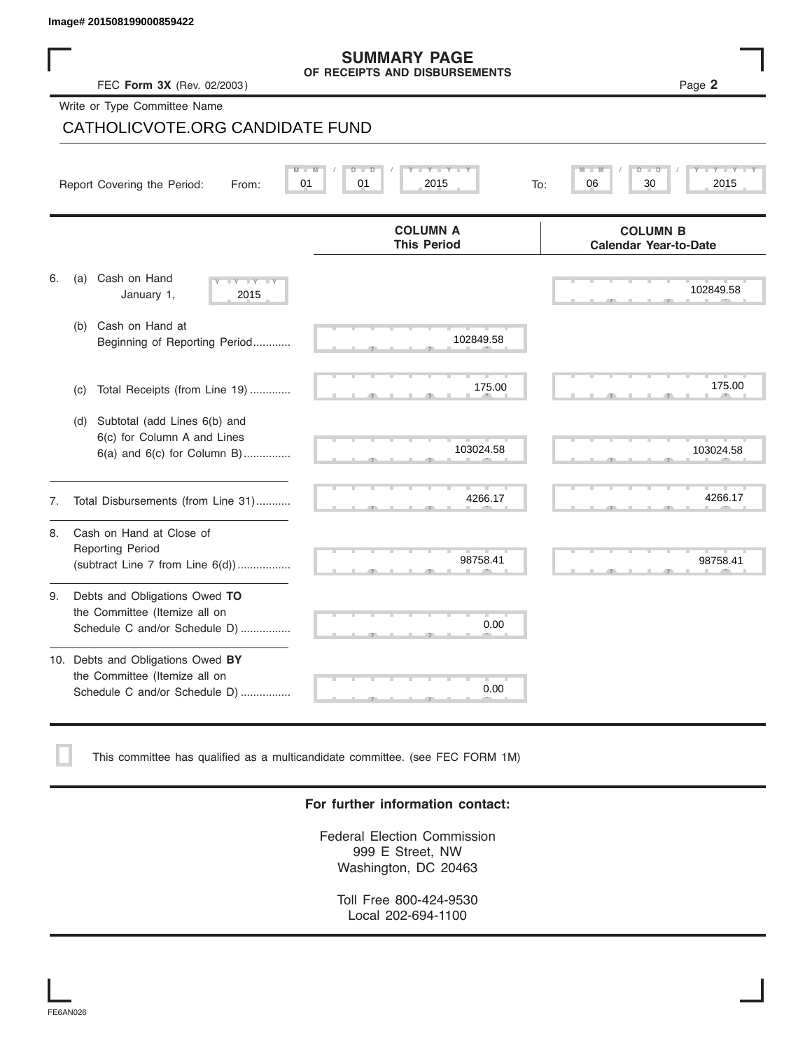|    | lmage# 201508199000859422                                                                             |                                                      |                                                 |
|----|-------------------------------------------------------------------------------------------------------|------------------------------------------------------|-------------------------------------------------|
|    | FEC Form 3X (Rev. 02/2003)                                                                            | <b>SUMMARY PAGE</b><br>OF RECEIPTS AND DISBURSEMENTS | Page 2                                          |
|    | Write or Type Committee Name                                                                          |                                                      |                                                 |
|    | CATHOLICVOTE.ORG CANDIDATE FUND                                                                       |                                                      |                                                 |
|    | Report Covering the Period:<br>01<br>From:                                                            | 01<br>2015<br>To:                                    | 06<br>30<br>2015                                |
|    |                                                                                                       | <b>COLUMN A</b><br><b>This Period</b>                | <b>COLUMN B</b><br><b>Calendar Year-to-Date</b> |
| 6. | Cash on Hand<br>(a)<br>$-1$ Y $-1$ Y<br>January 1,<br>2015                                            |                                                      | 102849.58                                       |
|    | Cash on Hand at<br>(b)<br>Beginning of Reporting Period                                               | 102849.58                                            |                                                 |
|    | Total Receipts (from Line 19)<br>(c)                                                                  | 175.00                                               | 175.00                                          |
|    | Subtotal (add Lines 6(b) and<br>(d)<br>6(c) for Column A and Lines<br>$6(a)$ and $6(c)$ for Column B) | 103024.58                                            | 103024.58                                       |
| 7. | Total Disbursements (from Line 31)                                                                    | 4266.17                                              | 4266.17                                         |
| 8. | Cash on Hand at Close of<br><b>Reporting Period</b><br>(subtract Line $7$ from Line $6(d)$ )          | 98758.41                                             | 98758.41                                        |
| 9. | Debts and Obligations Owed TO<br>the Committee (Itemize all on<br>Schedule C and/or Schedule D)       | 0.00                                                 |                                                 |

| 10. Debts and Obligations Owed BY |  |
|-----------------------------------|--|
| the Committee (Itemize all on     |  |
| Schedule C and/or Schedule D)     |  |

This committee has qualified as a multicandidate committee. (see FEC FORM 1M)

### **For further information contact:**

S S S , , .

0.00

Federal Election Commission 999 E Street, NW Washington, DC 20463

Toll Free 800-424-9530 Local 202-694-1100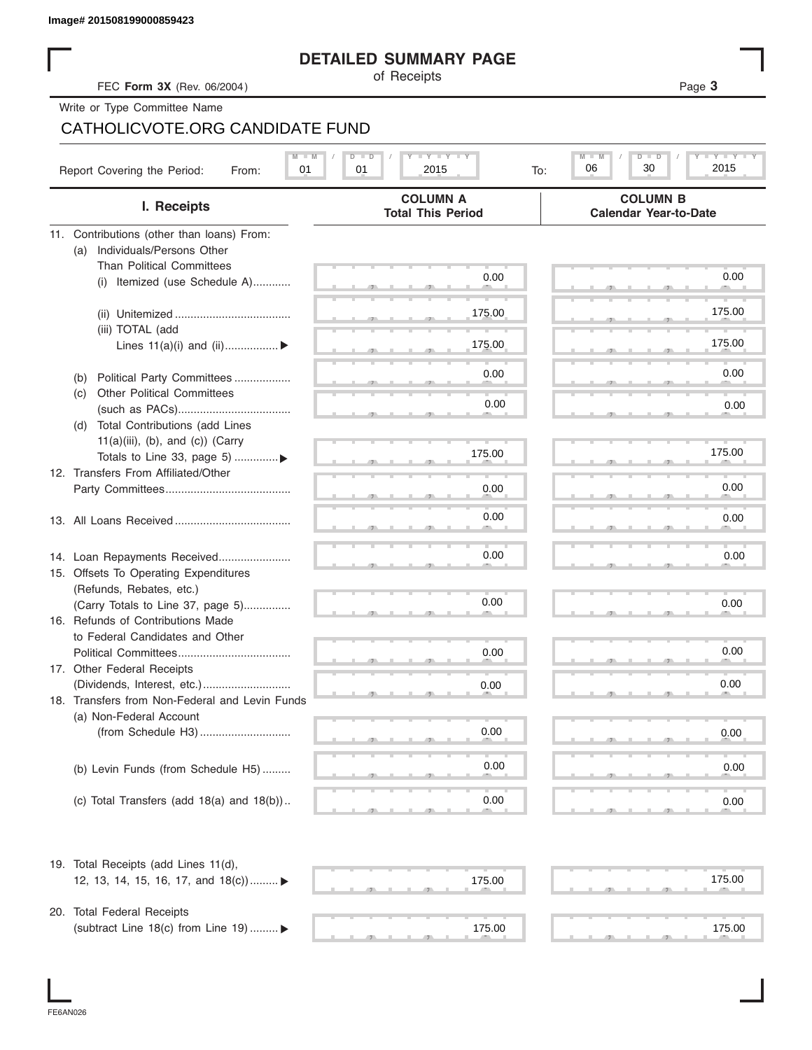# **DETAILED SUMMARY PAGE**

|                                                                              | <b>DETAILED SUMMARY PAGE</b>                |                                                 |
|------------------------------------------------------------------------------|---------------------------------------------|-------------------------------------------------|
| FEC Form 3X (Rev. 06/2004)                                                   | of Receipts                                 | Page 3                                          |
| Write or Type Committee Name                                                 |                                             |                                                 |
| CATHOLICVOTE.ORG CANDIDATE FUND                                              |                                             |                                                 |
|                                                                              |                                             |                                                 |
| Report Covering the Period:<br>01<br>From:                                   | <b>TYTY TYTY</b><br>01<br>2015<br>To:       | $M -$<br>Y TY<br>$D$ $\Box$<br>30<br>06<br>2015 |
| I. Receipts                                                                  | <b>COLUMN A</b><br><b>Total This Period</b> | <b>COLUMN B</b><br><b>Calendar Year-to-Date</b> |
| 11. Contributions (other than loans) From:                                   |                                             |                                                 |
| Individuals/Persons Other<br>(a)                                             |                                             |                                                 |
| <b>Than Political Committees</b>                                             |                                             |                                                 |
| (i) Itemized (use Schedule A)                                                | 0.00                                        | 0.00                                            |
|                                                                              |                                             |                                                 |
|                                                                              | 175.00                                      | 175.00                                          |
| (iii) TOTAL (add                                                             |                                             |                                                 |
| Lines $11(a)(i)$ and $(ii)$                                                  | 175.00                                      | 175.00                                          |
|                                                                              |                                             | 0.00                                            |
| Political Party Committees<br>(b)                                            | 0.00                                        |                                                 |
| <b>Other Political Committees</b><br>(C)                                     | 0.00                                        | 0.00                                            |
|                                                                              |                                             |                                                 |
| Total Contributions (add Lines<br>(d)<br>$11(a)(iii)$ , (b), and (c)) (Carry |                                             |                                                 |
| Totals to Line 33, page 5) ▶                                                 | 175.00                                      | 175.00                                          |
| 12. Transfers From Affiliated/Other                                          |                                             |                                                 |
|                                                                              | 0.00                                        | 0.00                                            |
|                                                                              |                                             |                                                 |
|                                                                              | 0.00                                        | 0.00                                            |
|                                                                              |                                             |                                                 |
| 14. Loan Repayments Received                                                 | 0.00                                        | 0.00                                            |
| 15. Offsets To Operating Expenditures                                        |                                             |                                                 |
| (Refunds, Rebates, etc.)                                                     |                                             |                                                 |
| (Carry Totals to Line 37, page 5)                                            | 0.00                                        | 0.00                                            |
| 16. Refunds of Contributions Made                                            |                                             |                                                 |
| to Federal Candidates and Other                                              |                                             |                                                 |
| Political Committees                                                         | 0.00                                        | 0.00                                            |
| 17. Other Federal Receipts                                                   |                                             |                                                 |
|                                                                              | 0.00                                        | 0.00                                            |
| 18. Transfers from Non-Federal and Levin Funds                               |                                             |                                                 |
| (a) Non-Federal Account                                                      |                                             |                                                 |
|                                                                              | 0.00                                        | 0.00                                            |
|                                                                              |                                             |                                                 |
| (b) Levin Funds (from Schedule H5)                                           | 0.00                                        | 0.00                                            |
|                                                                              |                                             |                                                 |
| (c) Total Transfers (add $18(a)$ and $18(b)$ )                               | 0.00                                        | 0.00                                            |
|                                                                              |                                             |                                                 |
| 19. Total Receipts (add Lines 11(d),                                         |                                             |                                                 |
| 12, 13, 14, 15, 16, 17, and 18(c)) ▶                                         | 175.00                                      | 175.00                                          |
|                                                                              |                                             |                                                 |
| 20. Total Federal Receipts                                                   |                                             |                                                 |
| (subtract Line 18(c) from Line 19)  ▶                                        | 175.00                                      | 175.00                                          |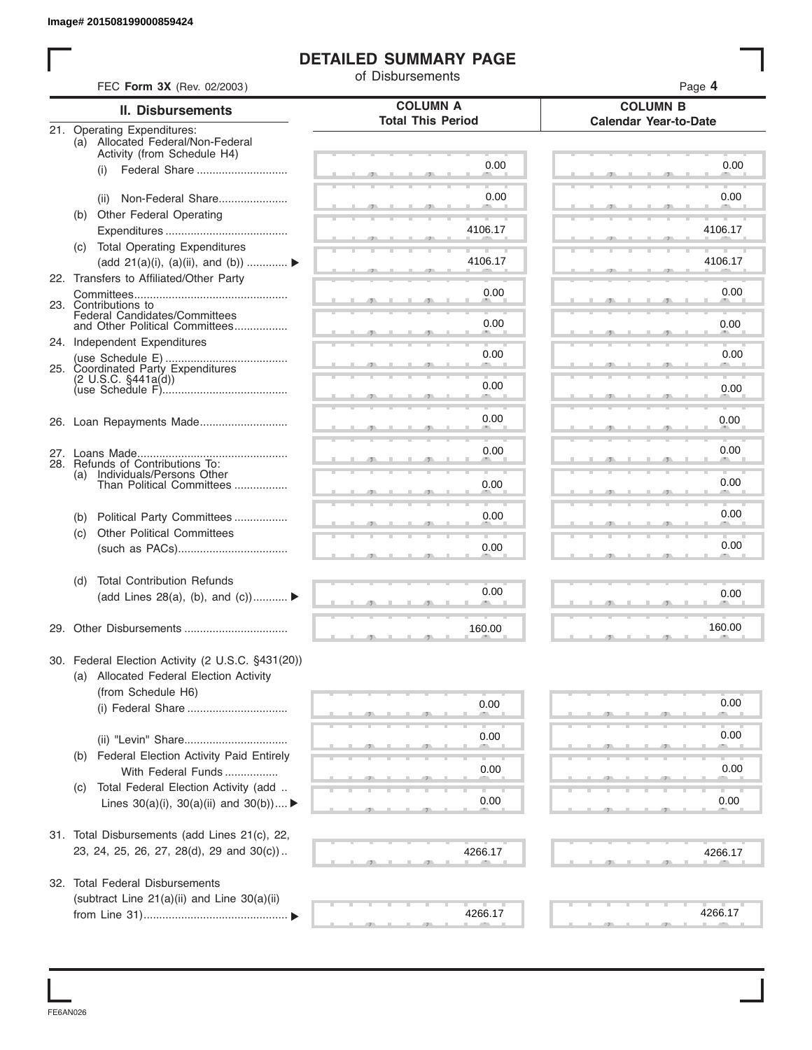# **DETAILED SUMMARY PAGE**

|            | FEC Form 3X (Rev. 02/2003)                                              | of Disbursements         | Page 4                       |
|------------|-------------------------------------------------------------------------|--------------------------|------------------------------|
|            | <b>II. Disbursements</b>                                                | <b>COLUMN A</b>          | <b>COLUMN B</b>              |
|            | 21. Operating Expenditures:                                             | <b>Total This Period</b> | <b>Calendar Year-to-Date</b> |
|            | (a) Allocated Federal/Non-Federal                                       |                          |                              |
|            | Activity (from Schedule H4)<br>Federal Share<br>(i)                     | 0.00                     | 0.00                         |
|            |                                                                         |                          |                              |
|            | Non-Federal Share<br>(ii)                                               | 0.00                     | 0.00                         |
|            | (b) Other Federal Operating                                             | 4106.17                  | 4106.17                      |
|            | (c) Total Operating Expenditures                                        |                          |                              |
|            | (add 21(a)(i), (a)(ii), and (b))                                        | 4106.17                  | 4106.17                      |
|            | 22. Transfers to Affiliated/Other Party                                 |                          | 0.00                         |
|            | 23. Contributions to                                                    | 0.00                     |                              |
|            | Federal Candidates/Committees<br>and Other Political Committees         | 0.00                     | 0.00                         |
|            | 24. Independent Expenditures                                            |                          |                              |
|            |                                                                         | 0.00                     | 0.00                         |
|            |                                                                         | 0.00                     | 0.00                         |
|            |                                                                         |                          |                              |
|            |                                                                         | 0.00                     | 0.00                         |
|            |                                                                         | 0.00                     | 0.00                         |
| (a)        | 28. Refunds of Contributions To:<br>Individuals/Persons Other           |                          |                              |
|            | Than Political Committees                                               | 0.00                     | 0.00                         |
|            |                                                                         | 0.00                     | 0.00                         |
| (b)<br>(c) | Political Party Committees<br><b>Other Political Committees</b>         |                          |                              |
|            |                                                                         | 0.00                     | 0.00                         |
|            |                                                                         |                          |                              |
| (d)        | <b>Total Contribution Refunds</b><br>(add Lines 28(a), (b), and $(c)$ ) | 0.00                     | 0.00                         |
|            |                                                                         |                          |                              |
|            |                                                                         | 160.00                   | 160.00                       |
|            | 30. Federal Election Activity (2 U.S.C. §431(20))                       |                          |                              |
|            | (a) Allocated Federal Election Activity                                 |                          |                              |
|            | (from Schedule H6)                                                      |                          |                              |
|            |                                                                         | 0.00                     | 0.00                         |
|            |                                                                         | 0.00                     | 0.00                         |
| (b)        | Federal Election Activity Paid Entirely                                 |                          |                              |
|            | With Federal Funds                                                      | 0.00                     | 0.00                         |
| (C)        | Total Federal Election Activity (add                                    | 0.00                     | 0.00                         |
|            | Lines $30(a)(i)$ , $30(a)(ii)$ and $30(b))$                             |                          |                              |
|            | 31. Total Disbursements (add Lines 21(c), 22,                           |                          |                              |
|            | 23, 24, 25, 26, 27, 28(d), 29 and 30(c))                                | 4266.17                  | 4266.17                      |
|            | 32. Total Federal Disbursements                                         |                          |                              |
|            | (subtract Line 21(a)(ii) and Line 30(a)(ii)                             |                          |                              |
|            |                                                                         | 4266.17                  | 4266.17                      |

FE6AN026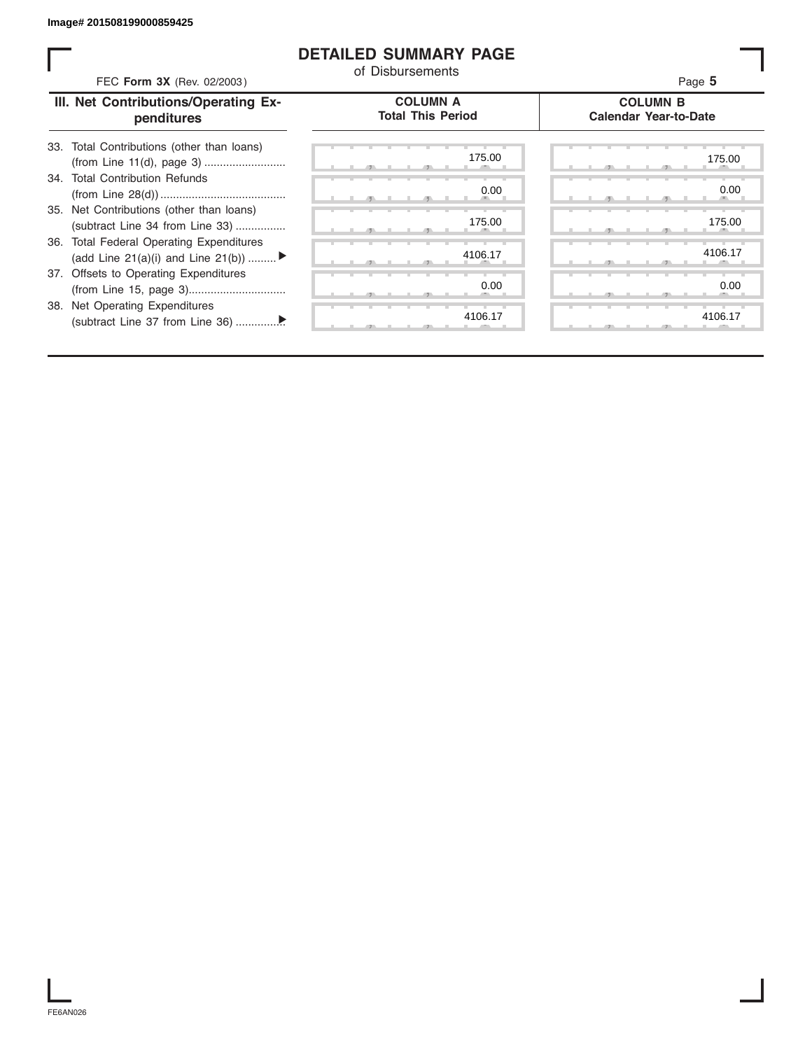## **DETAILED SUMMARY PAGE**

| FEC Form 3X (Rev. 02/2003)                                                               | <b>DETAILED SUMMARY PAGE</b><br>of Disbursements | Page 5                                          |
|------------------------------------------------------------------------------------------|--------------------------------------------------|-------------------------------------------------|
| III. Net Contributions/Operating Ex-<br>penditures                                       | <b>COLUMN A</b><br><b>Total This Period</b>      | <b>COLUMN B</b><br><b>Calendar Year-to-Date</b> |
| 33. Total Contributions (other than loans)                                               | 175.00                                           | 175.00                                          |
| 34. Total Contribution Refunds                                                           | 0.00                                             | 0.00                                            |
| 35. Net Contributions (other than loans)<br>(subtract Line 34 from Line 33)              | 175.00                                           | 175.00                                          |
| <b>Total Federal Operating Expenditures</b><br>36.<br>(add Line 21(a)(i) and Line 21(b)) | 4106.17                                          | 4106.17                                         |
| 37. Offsets to Operating Expenditures                                                    | 0.00                                             | 0.00                                            |
| <b>Net Operating Expenditures</b><br>38.                                                 | 4106.17                                          | 4106.17                                         |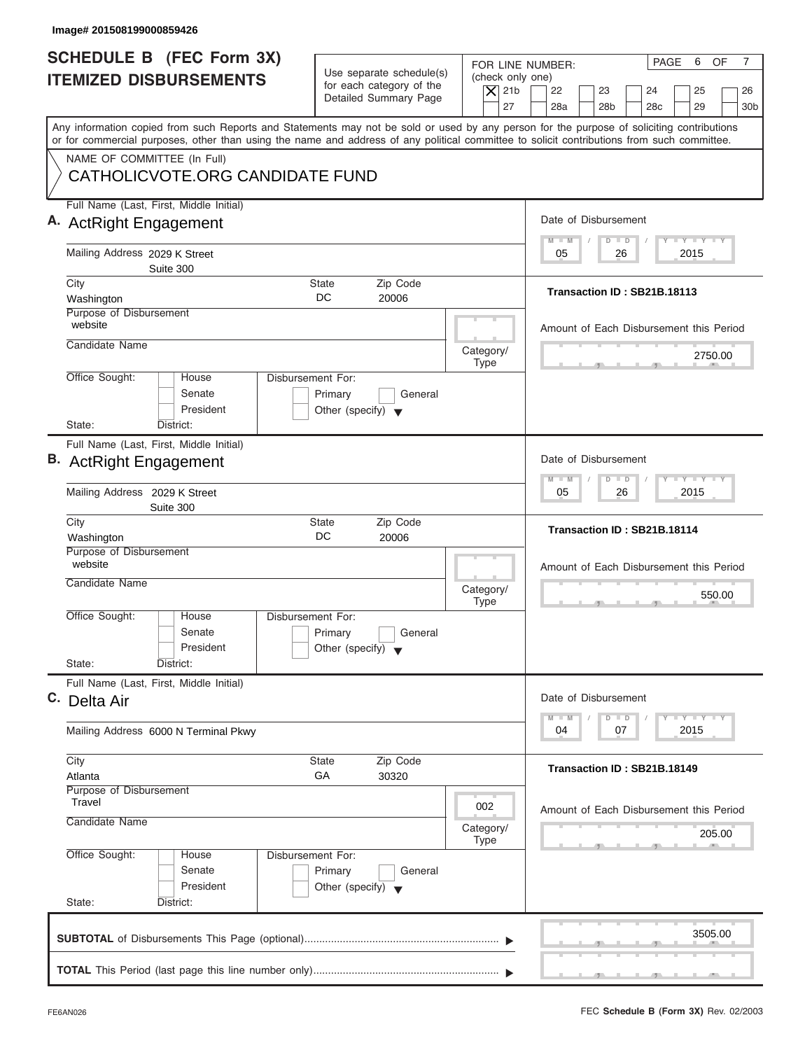| Image# 201508199000859426                                                                                                                                                                                                                                                               |                                                                                                |                                                                                                                                    |
|-----------------------------------------------------------------------------------------------------------------------------------------------------------------------------------------------------------------------------------------------------------------------------------------|------------------------------------------------------------------------------------------------|------------------------------------------------------------------------------------------------------------------------------------|
| SCHEDULE B (FEC Form 3X)<br><b>ITEMIZED DISBURSEMENTS</b>                                                                                                                                                                                                                               | Use separate schedule(s)                                                                       | PAGE<br>6<br>$\overline{7}$<br>OF<br>FOR LINE NUMBER:<br>(check only one)                                                          |
|                                                                                                                                                                                                                                                                                         | for each category of the<br>$\overline{X}$ 21b<br>Detailed Summary Page<br>27                  | 22<br>23<br>24<br>25<br>26<br>28a<br>28 <sub>b</sub><br>29<br>28 <sub>c</sub><br>30 <sub>b</sub>                                   |
| Any information copied from such Reports and Statements may not be sold or used by any person for the purpose of soliciting contributions<br>or for commercial purposes, other than using the name and address of any political committee to solicit contributions from such committee. |                                                                                                |                                                                                                                                    |
| NAME OF COMMITTEE (In Full)<br>CATHOLICVOTE.ORG CANDIDATE FUND                                                                                                                                                                                                                          |                                                                                                |                                                                                                                                    |
| Full Name (Last, First, Middle Initial)<br>A. ActRight Engagement                                                                                                                                                                                                                       |                                                                                                | Date of Disbursement                                                                                                               |
| Mailing Address 2029 K Street<br>Suite 300                                                                                                                                                                                                                                              |                                                                                                | <b>LY LY LY</b><br>$\blacksquare$ M<br>$\overline{D}$<br>$\Box$<br>2015<br>05<br>26                                                |
| City<br>Washington                                                                                                                                                                                                                                                                      | <b>State</b><br>Zip Code<br>DC<br>20006                                                        | Transaction ID: SB21B.18113                                                                                                        |
| Purpose of Disbursement<br>website<br>Candidate Name                                                                                                                                                                                                                                    |                                                                                                | Amount of Each Disbursement this Period                                                                                            |
| Office Sought:<br>House                                                                                                                                                                                                                                                                 | Category/<br><b>Type</b><br>Disbursement For:                                                  | 2750.00                                                                                                                            |
| Senate<br>President<br>State:<br>District:                                                                                                                                                                                                                                              | Primary<br>General<br>Other (specify) $\blacktriangledown$                                     |                                                                                                                                    |
| Full Name (Last, First, Middle Initial)<br><b>B.</b> ActRight Engagement                                                                                                                                                                                                                |                                                                                                | Date of Disbursement                                                                                                               |
| Mailing Address 2029 K Street<br>Suite 300                                                                                                                                                                                                                                              |                                                                                                | $-1 - Y - 1 - Y - 1$<br>M<br>W<br>$\overline{D}$<br>$\overline{D}$<br>2015<br>05<br>26                                             |
| City<br>Washington                                                                                                                                                                                                                                                                      | Zip Code<br><b>State</b><br>DC<br>20006                                                        | Transaction ID: SB21B.18114                                                                                                        |
| Purpose of Disbursement<br>website<br>Candidate Name                                                                                                                                                                                                                                    | Category/                                                                                      | Amount of Each Disbursement this Period<br>550.00                                                                                  |
| Office Sought:<br>House<br>Senate<br>President<br>State:<br>District:                                                                                                                                                                                                                   | <b>Type</b><br>Disbursement For:<br>Primary<br>General<br>Other (specify) $\blacktriangledown$ | - 51                                                                                                                               |
| Full Name (Last, First, Middle Initial)<br>C. Delta Air                                                                                                                                                                                                                                 |                                                                                                | Date of Disbursement                                                                                                               |
| Mailing Address 6000 N Terminal Pkwy                                                                                                                                                                                                                                                    |                                                                                                | $\mathbf{I}$ $\mathbf{Y}$ $\mathbf{I}$ $\mathbf{Y}$ $\mathbf{I}$ $\mathbf{Y}$<br>M<br>W<br>D<br>$\blacksquare$<br>2015<br>04<br>07 |
| City<br>Atlanta                                                                                                                                                                                                                                                                         | Zip Code<br><b>State</b><br>GA<br>30320                                                        | Transaction ID: SB21B.18149                                                                                                        |
| Purpose of Disbursement<br>Travel<br>Candidate Name                                                                                                                                                                                                                                     | 002                                                                                            | Amount of Each Disbursement this Period                                                                                            |
| Office Sought:<br>House                                                                                                                                                                                                                                                                 | Category/<br><b>Type</b><br>Disbursement For:                                                  | 205.00                                                                                                                             |
| Senate<br>President<br>State:<br>District:                                                                                                                                                                                                                                              | Primary<br>General<br>Other (specify) $\blacktriangledown$                                     |                                                                                                                                    |
|                                                                                                                                                                                                                                                                                         |                                                                                                | 3505.00                                                                                                                            |
|                                                                                                                                                                                                                                                                                         |                                                                                                |                                                                                                                                    |

ı